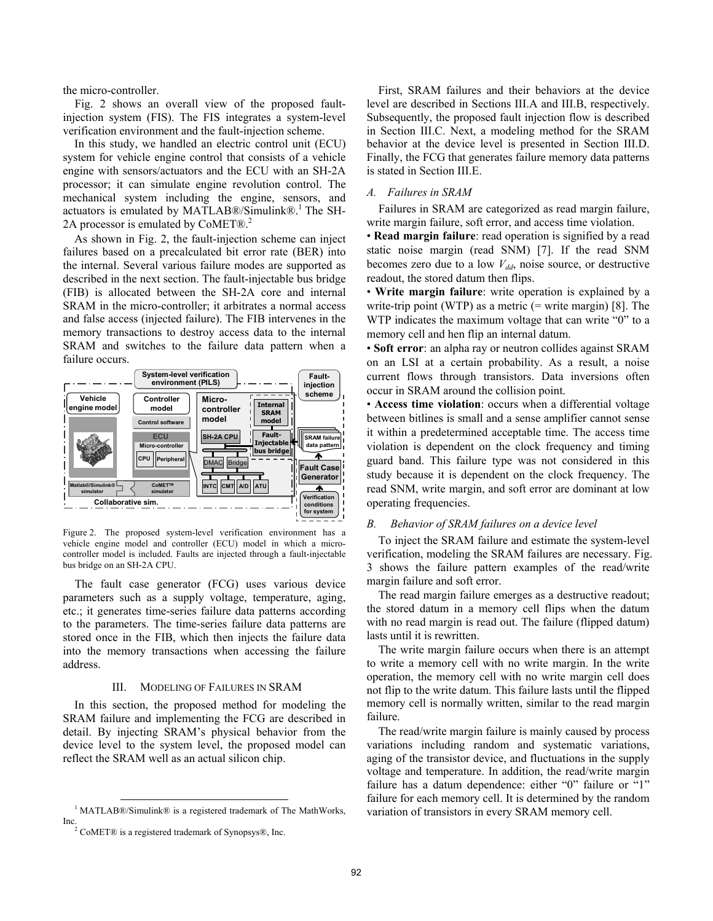the micro-controller.

Fig. 2 shows an overall view of the proposed faultinjection system (FIS). The FIS integrates a system-level verification environment and the fault-injection scheme.

In this study, we handled an electric control unit (ECU) system for vehicle engine control that consists of a vehicle engine with sensors/actuators and the ECU with an SH-2A processor; it can simulate engine revolution control. The mechanical system including the engine, sensors, and actuators is emulated by MATLAB®/Simulink®.<sup>1</sup> The SH-2A processor is emulated by CoMET®.<sup>2</sup>

As shown in Fig. 2, the fault-injection scheme can inject failures based on a precalculated bit error rate (BER) into the internal. Several various failure modes are supported as described in the next section. The fault-injectable bus bridge (FIB) is allocated between the SH-2A core and internal SRAM in the micro-controller; it arbitrates a normal access and false access (injected failure). The FIB intervenes in the memory transactions to destroy access data to the internal SRAM and switches to the failure data pattern when a failure occurs.



Figure 2. The proposed system-level verification environment has a vehicle engine model and controller (ECU) model in which a microcontroller model is included. Faults are injected through a fault-injectable bus bridge on an SH-2A CPU.

The fault case generator (FCG) uses various device parameters such as a supply voltage, temperature, aging, etc.; it generates time-series failure data patterns according to the parameters. The time-series failure data patterns are stored once in the FIB, which then injects the failure data into the memory transactions when accessing the failure address.

## III. MODELING OF FAILURES IN SRAM

In this section, the proposed method for modeling the SRAM failure and implementing the FCG are described in detail. By injecting SRAM's physical behavior from the device level to the system level, the proposed model can reflect the SRAM well as an actual silicon chip.

Inc.

First, SRAM failures and their behaviors at the device level are described in Sections III.A and III.B, respectively. Subsequently, the proposed fault injection flow is described in Section III.C. Next, a modeling method for the SRAM behavior at the device level is presented in Section III.D. Finally, the FCG that generates failure memory data patterns is stated in Section III.E.

## *A. Failures in SRAM*

Failures in SRAM are categorized as read margin failure, write margin failure, soft error, and access time violation.

• **Read margin failure**: read operation is signified by a read static noise margin (read SNM) [7]. If the read SNM becomes zero due to a low  $V_{dd}$ , noise source, or destructive readout, the stored datum then flips.

• **Write margin failure**: write operation is explained by a write-trip point (WTP) as a metric  $(=$  write margin) [8]. The WTP indicates the maximum voltage that can write "0" to a memory cell and hen flip an internal datum.

• **Soft error**: an alpha ray or neutron collides against SRAM on an LSI at a certain probability. As a result, a noise current flows through transistors. Data inversions often occur in SRAM around the collision point.

• **Access time violation**: occurs when a differential voltage between bitlines is small and a sense amplifier cannot sense it within a predetermined acceptable time. The access time violation is dependent on the clock frequency and timing guard band. This failure type was not considered in this study because it is dependent on the clock frequency. The read SNM, write margin, and soft error are dominant at low operating frequencies.

### *B. Behavior of SRAM failures on a device level*

To inject the SRAM failure and estimate the system-level verification, modeling the SRAM failures are necessary. Fig. 3 shows the failure pattern examples of the read/write margin failure and soft error.

The read margin failure emerges as a destructive readout; the stored datum in a memory cell flips when the datum with no read margin is read out. The failure (flipped datum) lasts until it is rewritten.

The write margin failure occurs when there is an attempt to write a memory cell with no write margin. In the write operation, the memory cell with no write margin cell does not flip to the write datum. This failure lasts until the flipped memory cell is normally written, similar to the read margin failure.

The read/write margin failure is mainly caused by process variations including random and systematic variations, aging of the transistor device, and fluctuations in the supply voltage and temperature. In addition, the read/write margin failure has a datum dependence: either "0" failure or "1" failure for each memory cell. It is determined by the random variation of transistors in every SRAM memory cell.

 <sup>1</sup> MATLAB®/Simulink® is a registered trademark of The MathWorks,

 $2^{\circ}$  CoMET® is a registered trademark of Synopsys®, Inc.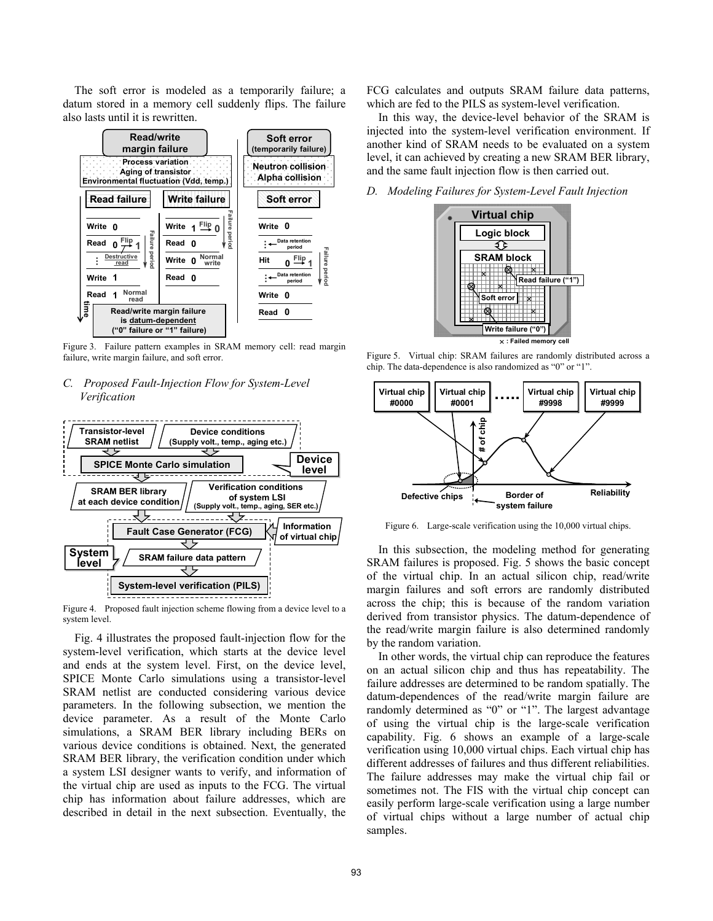The soft error is modeled as a temporarily failure; a datum stored in a memory cell suddenly flips. The failure also lasts until it is rewritten.



Figure 3. Failure pattern examples in SRAM memory cell: read margin failure, write margin failure, and soft error.

# *C. Proposed Fault-Injection Flow for System-Level Verification*



Figure 4. Proposed fault injection scheme flowing from a device level to a system level.

Fig. 4 illustrates the proposed fault-injection flow for the system-level verification, which starts at the device level and ends at the system level. First, on the device level, SPICE Monte Carlo simulations using a transistor-level SRAM netlist are conducted considering various device parameters. In the following subsection, we mention the device parameter. As a result of the Monte Carlo simulations, a SRAM BER library including BERs on various device conditions is obtained. Next, the generated SRAM BER library, the verification condition under which a system LSI designer wants to verify, and information of the virtual chip are used as inputs to the FCG. The virtual chip has information about failure addresses, which are described in detail in the next subsection. Eventually, the FCG calculates and outputs SRAM failure data patterns, which are fed to the PILS as system-level verification.

In this way, the device-level behavior of the SRAM is injected into the system-level verification environment. If another kind of SRAM needs to be evaluated on a system level, it can achieved by creating a new SRAM BER library, and the same fault injection flow is then carried out.

*D. Modeling Failures for System-Level Fault Injection* 



Figure 5. Virtual chip: SRAM failures are randomly distributed across a chip. The data-dependence is also randomized as "0" or "1".



Figure 6. Large-scale verification using the 10,000 virtual chips.

In this subsection, the modeling method for generating SRAM failures is proposed. Fig. 5 shows the basic concept of the virtual chip. In an actual silicon chip, read/write margin failures and soft errors are randomly distributed across the chip; this is because of the random variation derived from transistor physics. The datum-dependence of the read/write margin failure is also determined randomly by the random variation.

In other words, the virtual chip can reproduce the features on an actual silicon chip and thus has repeatability. The failure addresses are determined to be random spatially. The datum-dependences of the read/write margin failure are randomly determined as "0" or "1". The largest advantage of using the virtual chip is the large-scale verification capability. Fig. 6 shows an example of a large-scale verification using 10,000 virtual chips. Each virtual chip has different addresses of failures and thus different reliabilities. The failure addresses may make the virtual chip fail or sometimes not. The FIS with the virtual chip concept can easily perform large-scale verification using a large number of virtual chips without a large number of actual chip samples.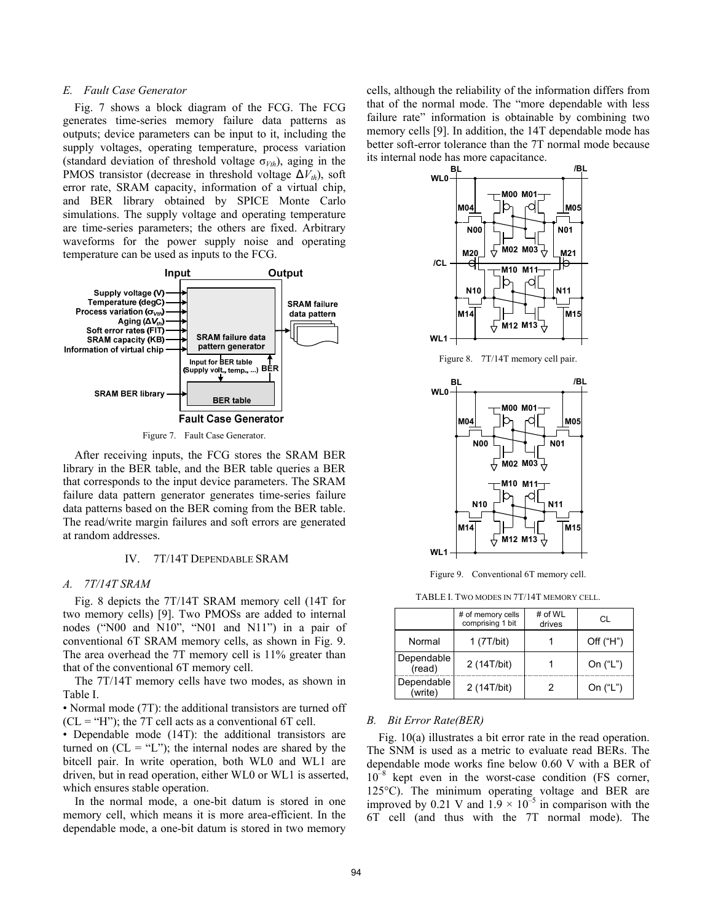## *E. Fault Case Generator*

Fig. 7 shows a block diagram of the FCG. The FCG generates time-series memory failure data patterns as outputs; device parameters can be input to it, including the supply voltages, operating temperature, process variation (standard deviation of threshold voltage  $\sigma_{Vth}$ ), aging in the PMOS transistor (decrease in threshold voltage  $\Delta V_{th}$ ), soft error rate, SRAM capacity, information of a virtual chip, and BER library obtained by SPICE Monte Carlo simulations. The supply voltage and operating temperature are time-series parameters; the others are fixed. Arbitrary waveforms for the power supply noise and operating temperature can be used as inputs to the FCG.



Figure 7. Fault Case Generator.

After receiving inputs, the FCG stores the SRAM BER library in the BER table, and the BER table queries a BER that corresponds to the input device parameters. The SRAM failure data pattern generator generates time-series failure data patterns based on the BER coming from the BER table. The read/write margin failures and soft errors are generated at random addresses.

### IV. 7T/14T DEPENDABLE SRAM

### *A. 7T/14T SRAM*

Fig. 8 depicts the 7T/14T SRAM memory cell (14T for two memory cells) [9]. Two PMOSs are added to internal nodes ("N00 and N10", "N01 and N11") in a pair of conventional 6T SRAM memory cells, as shown in Fig. 9. The area overhead the 7T memory cell is 11% greater than that of the conventional 6T memory cell.

The 7T/14T memory cells have two modes, as shown in Table I.

• Normal mode (7T): the additional transistors are turned off  $(CL = "H")$ ; the 7T cell acts as a conventional 6T cell.

• Dependable mode (14T): the additional transistors are turned on  $(CL = "L")$ ; the internal nodes are shared by the bitcell pair. In write operation, both WL0 and WL1 are driven, but in read operation, either WL0 or WL1 is asserted, which ensures stable operation.

In the normal mode, a one-bit datum is stored in one memory cell, which means it is more area-efficient. In the dependable mode, a one-bit datum is stored in two memory cells, although the reliability of the information differs from that of the normal mode. The "more dependable with less failure rate" information is obtainable by combining two memory cells [9]. In addition, the 14T dependable mode has better soft-error tolerance than the 7T normal mode because its internal node has more capacitance.



Figure 8. 7T/14T memory cell pair.



Figure 9. Conventional 6T memory cell.

TABLE I. TWO MODES IN 7T/14T MEMORY CELL.

|  |                       | # of memory cells<br>comprising 1 bit | # of WL<br>drives | CL.         |
|--|-----------------------|---------------------------------------|-------------------|-------------|
|  | Normal                | 1 $(7T/bit)$                          |                   | Off $("H")$ |
|  | Dependable<br>(read)  | 2 (14T/bit)                           |                   | On $("L")$  |
|  | Dependable<br>(write) | 2 (14T/bit)                           | 2                 | On ("L")    |

#### *B. Bit Error Rate(BER)*

Fig. 10(a) illustrates a bit error rate in the read operation. The SNM is used as a metric to evaluate read BERs. The dependable mode works fine below 0.60 V with a BER of  $10^{-8}$  kept even in the worst-case condition (FS corner, 125°C). The minimum operating voltage and BER are improved by 0.21 V and  $1.9 \times 10^{-5}$  in comparison with the 6T cell (and thus with the 7T normal mode). The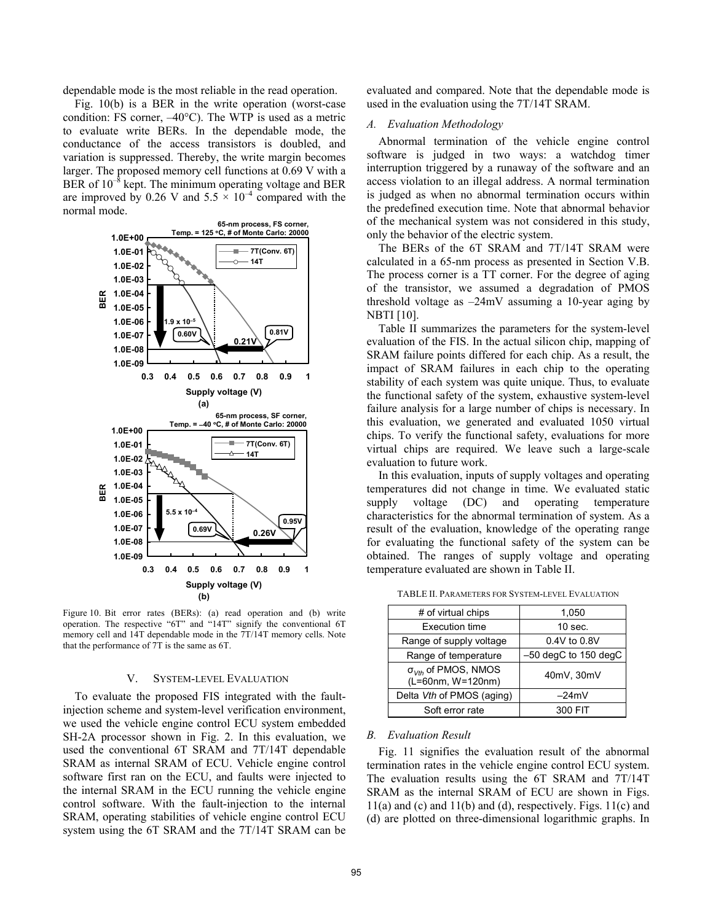dependable mode is the most reliable in the read operation.

Fig. 10(b) is a BER in the write operation (worst-case condition: FS corner, –40°C). The WTP is used as a metric to evaluate write BERs. In the dependable mode, the conductance of the access transistors is doubled, and variation is suppressed. Thereby, the write margin becomes larger. The proposed memory cell functions at 0.69 V with a BER of  $10^{-8}$  kept. The minimum operating voltage and BER are improved by 0.26 V and  $5.5 \times 10^{-4}$  compared with the normal mode.



Figure 10. Bit error rates (BERs): (a) read operation and (b) write operation. The respective "6T" and "14T" signify the conventional 6T memory cell and 14T dependable mode in the 7T/14T memory cells. Note that the performance of 7T is the same as 6T.

### V. SYSTEM-LEVEL EVALUATION

To evaluate the proposed FIS integrated with the faultinjection scheme and system-level verification environment, we used the vehicle engine control ECU system embedded SH-2A processor shown in Fig. 2. In this evaluation, we used the conventional 6T SRAM and 7T/14T dependable SRAM as internal SRAM of ECU. Vehicle engine control software first ran on the ECU, and faults were injected to the internal SRAM in the ECU running the vehicle engine control software. With the fault-injection to the internal SRAM, operating stabilities of vehicle engine control ECU system using the 6T SRAM and the 7T/14T SRAM can be evaluated and compared. Note that the dependable mode is used in the evaluation using the 7T/14T SRAM.

## *A. Evaluation Methodology*

Abnormal termination of the vehicle engine control software is judged in two ways: a watchdog timer interruption triggered by a runaway of the software and an access violation to an illegal address. A normal termination is judged as when no abnormal termination occurs within the predefined execution time. Note that abnormal behavior of the mechanical system was not considered in this study, only the behavior of the electric system.

The BERs of the 6T SRAM and 7T/14T SRAM were calculated in a 65-nm process as presented in Section V.B. The process corner is a TT corner. For the degree of aging of the transistor, we assumed a degradation of PMOS threshold voltage as –24mV assuming a 10-year aging by NBTI [10].

Table II summarizes the parameters for the system-level evaluation of the FIS. In the actual silicon chip, mapping of SRAM failure points differed for each chip. As a result, the impact of SRAM failures in each chip to the operating stability of each system was quite unique. Thus, to evaluate the functional safety of the system, exhaustive system-level failure analysis for a large number of chips is necessary. In this evaluation, we generated and evaluated 1050 virtual chips. To verify the functional safety, evaluations for more virtual chips are required. We leave such a large-scale evaluation to future work.

In this evaluation, inputs of supply voltages and operating temperatures did not change in time. We evaluated static supply voltage (DC) and operating temperature characteristics for the abnormal termination of system. As a result of the evaluation, knowledge of the operating range for evaluating the functional safety of the system can be obtained. The ranges of supply voltage and operating temperature evaluated are shown in Table II.

| # of virtual chips                                | 1,050                  |  |
|---------------------------------------------------|------------------------|--|
| <b>Execution time</b>                             | $10$ sec.              |  |
| Range of supply voltage                           | 0.4V to 0.8V           |  |
| Range of temperature                              | $-50$ degC to 150 degC |  |
| $\sigma_{Vth}$ of PMOS, NMOS<br>(L=60nm, W=120nm) | 40mV, 30mV             |  |
| Delta Vth of PMOS (aging)                         | $-24mV$                |  |
| Soft error rate                                   | 300 FIT                |  |

TABLE II. PARAMETERS FOR SYSTEM-LEVEL EVALUATION

## *B. Evaluation Result*

Fig. 11 signifies the evaluation result of the abnormal termination rates in the vehicle engine control ECU system. The evaluation results using the 6T SRAM and 7T/14T SRAM as the internal SRAM of ECU are shown in Figs. 11(a) and (c) and 11(b) and (d), respectively. Figs. 11(c) and (d) are plotted on three-dimensional logarithmic graphs. In